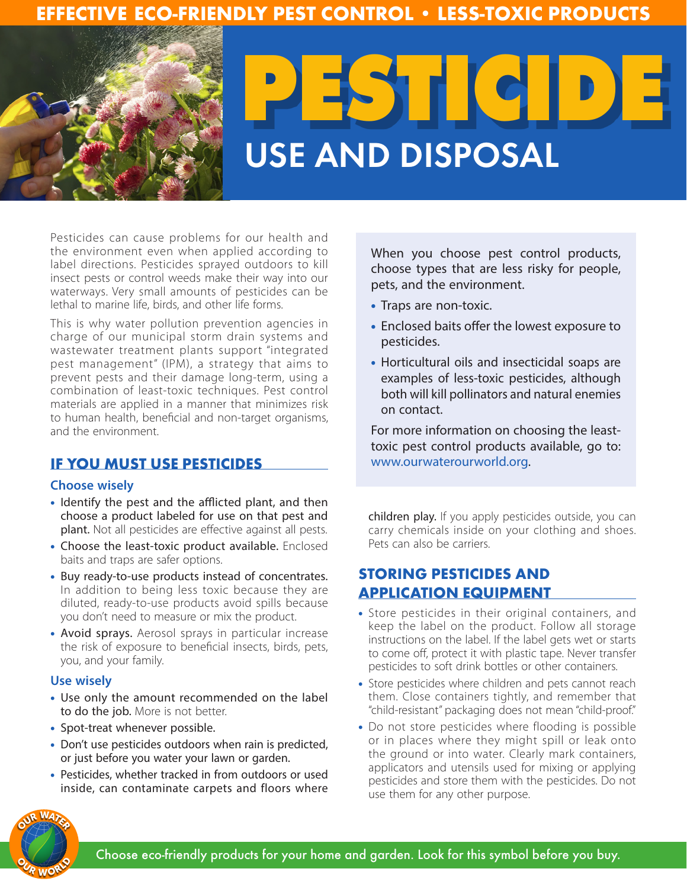# **EFFECTIVE ECO-FRIENDLY PEST CONTROL • LESS-TOXIC PRODUCTS**



Pesticides can cause problems for our health and the environment even when applied according to label directions. Pesticides sprayed outdoors to kill insect pests or control weeds make their way into our waterways. Very small amounts of pesticides can be lethal to marine life, birds, and other life forms.

This is why water pollution prevention agencies in charge of our municipal storm drain systems and wastewater treatment plants support "integrated pest management" (IPM), a strategy that aims to prevent pests and their damage long-term, using a combination of least-toxic techniques. Pest control materials are applied in a manner that minimizes risk to human health, beneficial and non-target organisms, and the environment.

## **IF YOU MUST USE PESTICIDES**

### **Choose wisely**

- Identify the pest and the afflicted plant, and then choose a product labeled for use on that pest and plant. Not all pesticides are effective against all pests.
- Choose the least-toxic product available. Enclosed baits and traps are safer options.
- Buy ready-to-use products instead of concentrates. In addition to being less toxic because they are diluted, ready-to-use products avoid spills because you don't need to measure or mix the product.
- Avoid sprays. Aerosol sprays in particular increase the risk of exposure to beneficial insects, birds, pets, you, and your family.

#### **Use wisely**

- Use only the amount recommended on the label to do the job. More is not better.
- Spot-treat whenever possible.
- Don't use pesticides outdoors when rain is predicted, or just before you water your lawn or garden.
- Pesticides, whether tracked in from outdoors or used inside, can contaminate carpets and floors where

When you choose pest control products, choose types that are less risky for people, pets, and the environment.

- Traps are non-toxic.
- Enclosed baits offer the lowest exposure to pesticides.
- Horticultural oils and insecticidal soaps are examples of less-toxic pesticides, although both will kill pollinators and natural enemies on contact.

For more information on choosing the leasttoxic pest control products available, go to: www.ourwaterourworld.org.

children play. If you apply pesticides outside, you can carry chemicals inside on your clothing and shoes. Pets can also be carriers.

## **STORING PESTICIDES AND APPLICATION EQUIPMENT**

- Store pesticides in their original containers, and keep the label on the product. Follow all storage instructions on the label. If the label gets wet or starts to come off, protect it with plastic tape. Never transfer pesticides to soft drink bottles or other containers.
- Store pesticides where children and pets cannot reach them. Close containers tightly, and remember that "child-resistant" packaging does not mean "child-proof."
- Do not store pesticides where flooding is possible or in places where they might spill or leak onto the ground or into water. Clearly mark containers, applicators and utensils used for mixing or applying pesticides and store them with the pesticides. Do not use them for any other purpose.